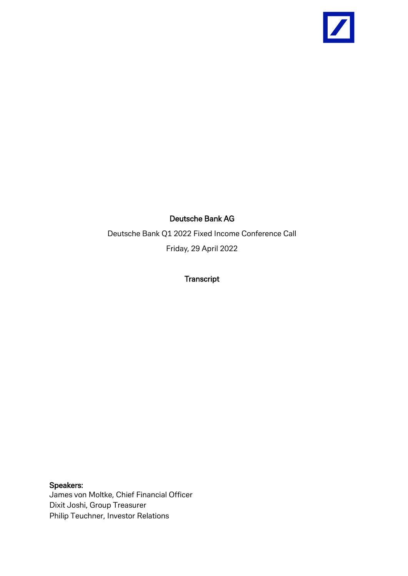

## Deutsche Bank AG

Deutsche Bank Q1 2022 Fixed Income Conference Call Friday, 29 April 2022

**Transcript** 

Speakers: James von Moltke, Chief Financial Officer Dixit Joshi, Group Treasurer Philip Teuchner, Investor Relations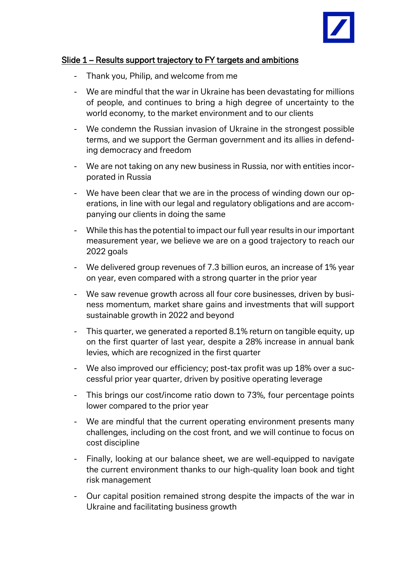

#### Slide 1 – Results support trajectory to FY targets and ambitions

- Thank you, Philip, and welcome from me
- We are mindful that the war in Ukraine has been devastating for millions of people, and continues to bring a high degree of uncertainty to the world economy, to the market environment and to our clients
- We condemn the Russian invasion of Ukraine in the strongest possible terms, and we support the German government and its allies in defending democracy and freedom
- We are not taking on any new business in Russia, nor with entities incorporated in Russia
- We have been clear that we are in the process of winding down our operations, in line with our legal and regulatory obligations and are accompanying our clients in doing the same
- While this has the potential to impact our full year results in our important measurement year, we believe we are on a good trajectory to reach our 2022 goals
- We delivered group revenues of 7.3 billion euros, an increase of 1% year on year, even compared with a strong quarter in the prior year
- We saw revenue growth across all four core businesses, driven by business momentum, market share gains and investments that will support sustainable growth in 2022 and beyond
- This quarter, we generated a reported 8.1% return on tangible equity, up on the first quarter of last year, despite a 28% increase in annual bank levies, which are recognized in the first quarter
- We also improved our efficiency; post-tax profit was up 18% over a successful prior year quarter, driven by positive operating leverage
- This brings our cost/income ratio down to 73%, four percentage points lower compared to the prior year
- We are mindful that the current operating environment presents many challenges, including on the cost front, and we will continue to focus on cost discipline
- Finally, looking at our balance sheet, we are well-equipped to navigate the current environment thanks to our high-quality loan book and tight risk management
- Our capital position remained strong despite the impacts of the war in Ukraine and facilitating business growth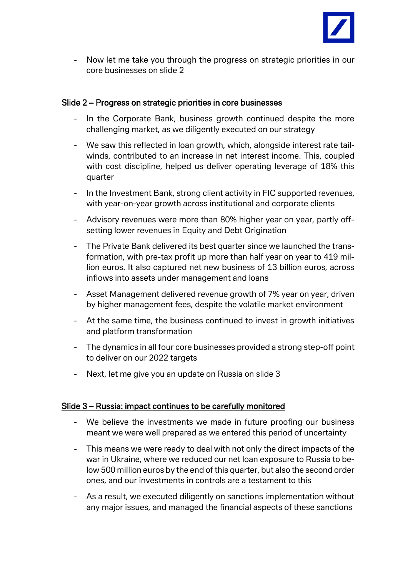

- Now let me take you through the progress on strategic priorities in our core businesses on slide 2

#### Slide 2 – Progress on strategic priorities in core businesses

- In the Corporate Bank, business growth continued despite the more challenging market, as we diligently executed on our strategy
- We saw this reflected in loan growth, which, alongside interest rate tailwinds, contributed to an increase in net interest income. This, coupled with cost discipline, helped us deliver operating leverage of 18% this quarter
- In the Investment Bank, strong client activity in FIC supported revenues, with year-on-year growth across institutional and corporate clients
- Advisory revenues were more than 80% higher year on year, partly offsetting lower revenues in Equity and Debt Origination
- The Private Bank delivered its best quarter since we launched the transformation, with pre-tax profit up more than half year on year to 419 million euros. It also captured net new business of 13 billion euros, across inflows into assets under management and loans
- Asset Management delivered revenue growth of 7% year on year, driven by higher management fees, despite the volatile market environment
- At the same time, the business continued to invest in growth initiatives and platform transformation
- The dynamics in all four core businesses provided a strong step-off point to deliver on our 2022 targets
- Next, let me give you an update on Russia on slide 3

# Slide 3 – Russia: impact continues to be carefully monitored

- We believe the investments we made in future proofing our business meant we were well prepared as we entered this period of uncertainty
- This means we were ready to deal with not only the direct impacts of the war in Ukraine, where we reduced our net loan exposure to Russia to below 500 million euros by the end of this quarter, but also the second order ones, and our investments in controls are a testament to this
- As a result, we executed diligently on sanctions implementation without any major issues, and managed the financial aspects of these sanctions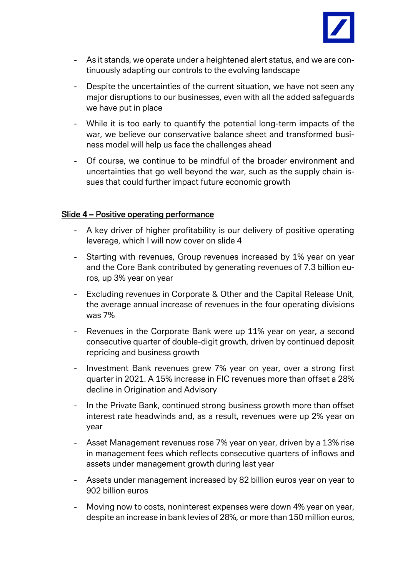

- As it stands, we operate under a heightened alert status, and we are continuously adapting our controls to the evolving landscape
- Despite the uncertainties of the current situation, we have not seen any major disruptions to our businesses, even with all the added safeguards we have put in place
- While it is too early to quantify the potential long-term impacts of the war, we believe our conservative balance sheet and transformed business model will help us face the challenges ahead
- Of course, we continue to be mindful of the broader environment and uncertainties that go well beyond the war, such as the supply chain issues that could further impact future economic growth

## Slide 4 – Positive operating performance

- A key driver of higher profitability is our delivery of positive operating leverage, which I will now cover on slide 4
- Starting with revenues, Group revenues increased by 1% year on year and the Core Bank contributed by generating revenues of 7.3 billion euros, up 3% year on year
- Excluding revenues in Corporate & Other and the Capital Release Unit, the average annual increase of revenues in the four operating divisions was 7%
- Revenues in the Corporate Bank were up 11% year on year, a second consecutive quarter of double-digit growth, driven by continued deposit repricing and business growth
- Investment Bank revenues grew 7% year on year, over a strong first quarter in 2021. A 15% increase in FIC revenues more than offset a 28% decline in Origination and Advisory
- In the Private Bank, continued strong business growth more than offset interest rate headwinds and, as a result, revenues were up 2% year on year
- Asset Management revenues rose 7% year on year, driven by a 13% rise in management fees which reflects consecutive quarters of inflows and assets under management growth during last year
- Assets under management increased by 82 billion euros year on year to 902 billion euros
- Moving now to costs, noninterest expenses were down 4% year on year, despite an increase in bank levies of 28%, or more than 150 million euros,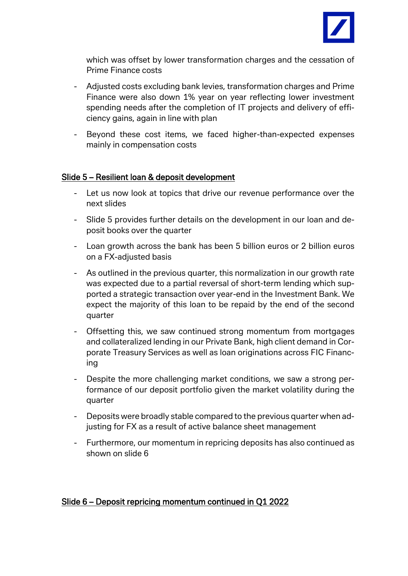

which was offset by lower transformation charges and the cessation of Prime Finance costs

- Adjusted costs excluding bank levies, transformation charges and Prime Finance were also down 1% year on year reflecting lower investment spending needs after the completion of IT projects and delivery of efficiency gains, again in line with plan
- Beyond these cost items, we faced higher-than-expected expenses mainly in compensation costs

#### Slide 5 – Resilient loan & deposit development

- Let us now look at topics that drive our revenue performance over the next slides
- Slide 5 provides further details on the development in our loan and deposit books over the quarter
- Loan growth across the bank has been 5 billion euros or 2 billion euros on a FX-adjusted basis
- As outlined in the previous quarter, this normalization in our growth rate was expected due to a partial reversal of short-term lending which supported a strategic transaction over year-end in the Investment Bank. We expect the majority of this loan to be repaid by the end of the second quarter
- Offsetting this, we saw continued strong momentum from mortgages and collateralized lending in our Private Bank, high client demand in Corporate Treasury Services as well as loan originations across FIC Financing
- Despite the more challenging market conditions, we saw a strong performance of our deposit portfolio given the market volatility during the quarter
- Deposits were broadly stable compared to the previous quarter when adjusting for FX as a result of active balance sheet management
- Furthermore, our momentum in repricing deposits has also continued as shown on slide 6

#### Slide 6 – Deposit repricing momentum continued in Q1 2022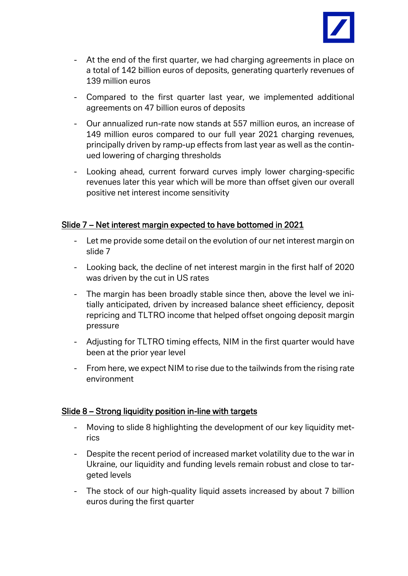

- At the end of the first quarter, we had charging agreements in place on a total of 142 billion euros of deposits, generating quarterly revenues of 139 million euros
- Compared to the first quarter last year, we implemented additional agreements on 47 billion euros of deposits
- Our annualized run-rate now stands at 557 million euros, an increase of 149 million euros compared to our full year 2021 charging revenues, principally driven by ramp-up effects from last year as well as the continued lowering of charging thresholds
- Looking ahead, current forward curves imply lower charging-specific revenues later this year which will be more than offset given our overall positive net interest income sensitivity

#### Slide 7 – Net interest margin expected to have bottomed in 2021

- Let me provide some detail on the evolution of our net interest margin on slide 7
- Looking back, the decline of net interest margin in the first half of 2020 was driven by the cut in US rates
- The margin has been broadly stable since then, above the level we initially anticipated, driven by increased balance sheet efficiency, deposit repricing and TLTRO income that helped offset ongoing deposit margin pressure
- Adjusting for TLTRO timing effects, NIM in the first quarter would have been at the prior year level
- From here, we expect NIM to rise due to the tailwinds from the rising rate environment

# Slide 8 – Strong liquidity position in-line with targets

- Moving to slide 8 highlighting the development of our key liquidity metrics
- Despite the recent period of increased market volatility due to the war in Ukraine, our liquidity and funding levels remain robust and close to targeted levels
- The stock of our high-quality liquid assets increased by about 7 billion euros during the first quarter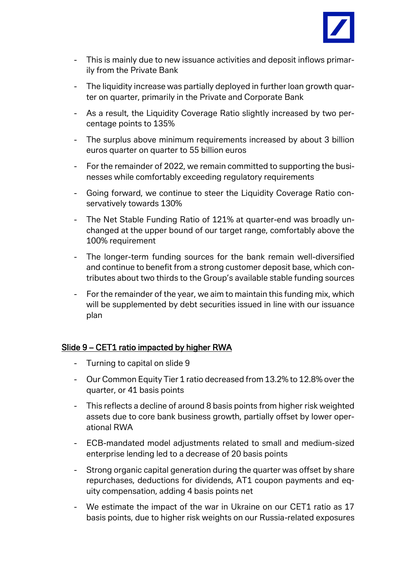

- This is mainly due to new issuance activities and deposit inflows primarily from the Private Bank
- The liquidity increase was partially deployed in further loan growth quarter on quarter, primarily in the Private and Corporate Bank
- As a result, the Liquidity Coverage Ratio slightly increased by two percentage points to 135%
- The surplus above minimum requirements increased by about 3 billion euros quarter on quarter to 55 billion euros
- For the remainder of 2022, we remain committed to supporting the businesses while comfortably exceeding regulatory requirements
- Going forward, we continue to steer the Liquidity Coverage Ratio conservatively towards 130%
- The Net Stable Funding Ratio of 121% at quarter-end was broadly unchanged at the upper bound of our target range, comfortably above the 100% requirement
- The longer-term funding sources for the bank remain well-diversified and continue to benefit from a strong customer deposit base, which contributes about two thirds to the Group's available stable funding sources
- For the remainder of the year, we aim to maintain this funding mix, which will be supplemented by debt securities issued in line with our issuance plan

#### Slide 9 – CET1 ratio impacted by higher RWA

- Turning to capital on slide 9
- Our Common Equity Tier 1 ratio decreased from 13.2% to 12.8% over the quarter, or 41 basis points
- This reflects a decline of around 8 basis points from higher risk weighted assets due to core bank business growth, partially offset by lower operational RWA
- ECB-mandated model adjustments related to small and medium-sized enterprise lending led to a decrease of 20 basis points
- Strong organic capital generation during the quarter was offset by share repurchases, deductions for dividends, AT1 coupon payments and equity compensation, adding 4 basis points net
- We estimate the impact of the war in Ukraine on our CET1 ratio as 17 basis points, due to higher risk weights on our Russia-related exposures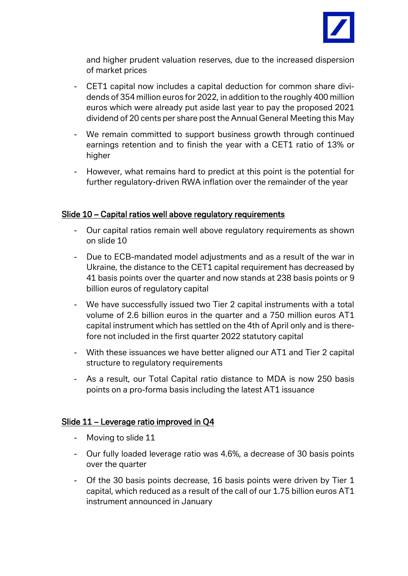

and higher prudent valuation reserves, due to the increased dispersion of market prices

- CET1 capital now includes a capital deduction for common share dividends of 354 million euros for 2022, in addition to the roughly 400 million euros which were already put aside last year to pay the proposed 2021 dividend of 20 cents per share post the Annual General Meeting this May
- We remain committed to support business growth through continued earnings retention and to finish the year with a CET1 ratio of 13% or higher
- However, what remains hard to predict at this point is the potential for further regulatory-driven RWA inflation over the remainder of the year

## Slide 10 – Capital ratios well above regulatory requirements

- Our capital ratios remain well above regulatory requirements as shown on slide 10
- Due to ECB-mandated model adjustments and as a result of the war in Ukraine, the distance to the CET1 capital requirement has decreased by 41 basis points over the quarter and now stands at 238 basis points or 9 billion euros of regulatory capital
- We have successfully issued two Tier 2 capital instruments with a total volume of 2.6 billion euros in the quarter and a 750 million euros AT1 capital instrument which has settled on the 4th of April only and is therefore not included in the first quarter 2022 statutory capital
- With these issuances we have better aligned our AT1 and Tier 2 capital structure to regulatory requirements
- As a result, our Total Capital ratio distance to MDA is now 250 basis points on a pro-forma basis including the latest AT1 issuance

# Slide 11 – Leverage ratio improved in Q4

- Moving to slide 11
- Our fully loaded leverage ratio was 4.6%, a decrease of 30 basis points over the quarter
- Of the 30 basis points decrease, 16 basis points were driven by Tier 1 capital, which reduced as a result of the call of our 1.75 billion euros AT1 instrument announced in January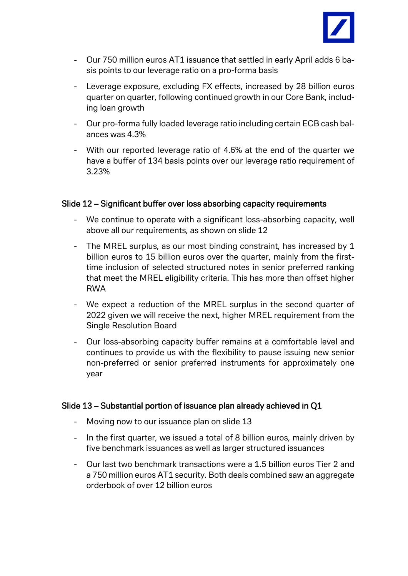

- Our 750 million euros AT1 issuance that settled in early April adds 6 basis points to our leverage ratio on a pro-forma basis
- Leverage exposure, excluding FX effects, increased by 28 billion euros quarter on quarter, following continued growth in our Core Bank, including loan growth
- Our pro-forma fully loaded leverage ratio including certain ECB cash balances was 4.3%
- With our reported leverage ratio of 4.6% at the end of the quarter we have a buffer of 134 basis points over our leverage ratio requirement of 3.23%

#### Slide 12 – Significant buffer over loss absorbing capacity requirements

- We continue to operate with a significant loss-absorbing capacity, well above all our requirements, as shown on slide 12
- The MREL surplus, as our most binding constraint, has increased by 1 billion euros to 15 billion euros over the quarter, mainly from the firsttime inclusion of selected structured notes in senior preferred ranking that meet the MREL eligibility criteria. This has more than offset higher RWA
- We expect a reduction of the MREL surplus in the second quarter of 2022 given we will receive the next, higher MREL requirement from the Single Resolution Board
- Our loss-absorbing capacity buffer remains at a comfortable level and continues to provide us with the flexibility to pause issuing new senior non-preferred or senior preferred instruments for approximately one year

#### Slide 13 – Substantial portion of issuance plan already achieved in Q1

- Moving now to our issuance plan on slide 13
- In the first quarter, we issued a total of 8 billion euros, mainly driven by five benchmark issuances as well as larger structured issuances
- Our last two benchmark transactions were a 1.5 billion euros Tier 2 and a 750 million euros AT1 security. Both deals combined saw an aggregate orderbook of over 12 billion euros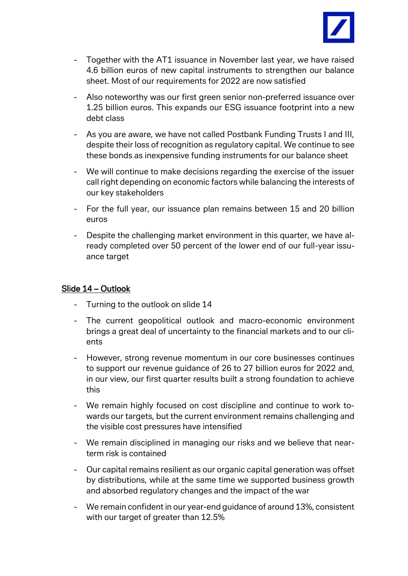

- Together with the AT1 issuance in November last year, we have raised 4.6 billion euros of new capital instruments to strengthen our balance sheet. Most of our requirements for 2022 are now satisfied
- Also noteworthy was our first green senior non-preferred issuance over 1.25 billion euros. This expands our ESG issuance footprint into a new debt class
- As you are aware, we have not called Postbank Funding Trusts I and III, despite their loss of recognition as regulatory capital. We continue to see these bonds as inexpensive funding instruments for our balance sheet
- We will continue to make decisions regarding the exercise of the issuer call right depending on economic factors while balancing the interests of our key stakeholders
- For the full year, our issuance plan remains between 15 and 20 billion euros
- Despite the challenging market environment in this quarter, we have already completed over 50 percent of the lower end of our full-year issuance target

#### Slide 14 – Outlook

- Turning to the outlook on slide 14
- The current geopolitical outlook and macro-economic environment brings a great deal of uncertainty to the financial markets and to our clients
- However, strong revenue momentum in our core businesses continues to support our revenue guidance of 26 to 27 billion euros for 2022 and, in our view, our first quarter results built a strong foundation to achieve this
- We remain highly focused on cost discipline and continue to work towards our targets, but the current environment remains challenging and the visible cost pressures have intensified
- We remain disciplined in managing our risks and we believe that nearterm risk is contained
- Our capital remains resilient as our organic capital generation was offset by distributions, while at the same time we supported business growth and absorbed regulatory changes and the impact of the war
- We remain confident in our year-end guidance of around 13%, consistent with our target of greater than 12.5%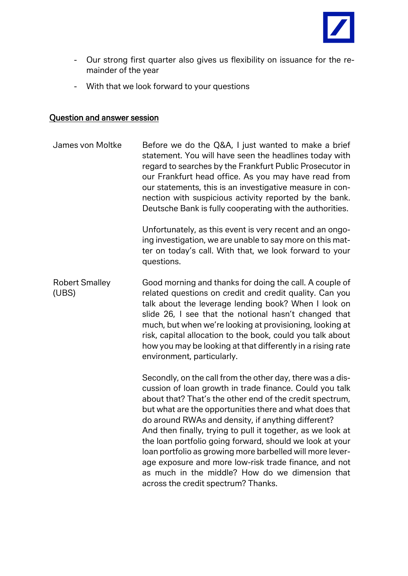

- Our strong first quarter also gives us flexibility on issuance for the remainder of the year
- With that we look forward to your questions

#### Question and answer session

James von Moltke Before we do the Q&A, I just wanted to make a brief statement. You will have seen the headlines today with regard to searches by the Frankfurt Public Prosecutor in our Frankfurt head office. As you may have read from our statements, this is an investigative measure in connection with suspicious activity reported by the bank. Deutsche Bank is fully cooperating with the authorities. Unfortunately, as this event is very recent and an ongoing investigation, we are unable to say more on this matter on today's call. With that, we look forward to your questions. Robert Smalley (UBS) Good morning and thanks for doing the call. A couple of related questions on credit and credit quality. Can you talk about the leverage lending book? When I look on slide 26, I see that the notional hasn't changed that much, but when we're looking at provisioning, looking at risk, capital allocation to the book, could you talk about how you may be looking at that differently in a rising rate environment, particularly. Secondly, on the call from the other day, there was a discussion of loan growth in trade finance. Could you talk about that? That's the other end of the credit spectrum, but what are the opportunities there and what does that do around RWAs and density, if anything different? And then finally, trying to pull it together, as we look at the loan portfolio going forward, should we look at your loan portfolio as growing more barbelled will more leverage exposure and more low-risk trade finance, and not as much in the middle? How do we dimension that across the credit spectrum? Thanks.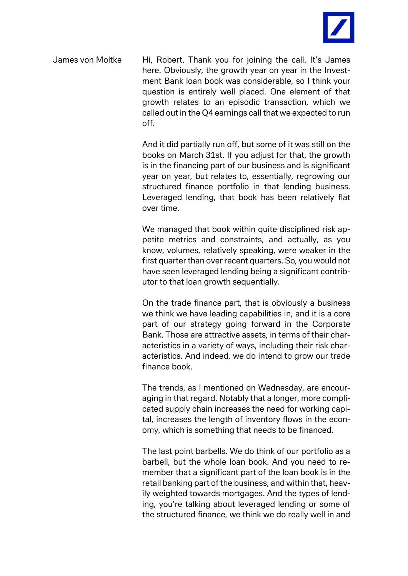

James von Moltke Hi, Robert. Thank you for joining the call. It's James here. Obviously, the growth year on year in the Investment Bank loan book was considerable, so I think your question is entirely well placed. One element of that growth relates to an episodic transaction, which we called out in the Q4 earnings call that we expected to run off.

> And it did partially run off, but some of it was still on the books on March 31st. If you adjust for that, the growth is in the financing part of our business and is significant year on year, but relates to, essentially, regrowing our structured finance portfolio in that lending business. Leveraged lending, that book has been relatively flat over time.

> We managed that book within quite disciplined risk appetite metrics and constraints, and actually, as you know, volumes, relatively speaking, were weaker in the first quarter than over recent quarters. So, you would not have seen leveraged lending being a significant contributor to that loan growth sequentially.

> On the trade finance part, that is obviously a business we think we have leading capabilities in, and it is a core part of our strategy going forward in the Corporate Bank. Those are attractive assets, in terms of their characteristics in a variety of ways, including their risk characteristics. And indeed, we do intend to grow our trade finance book.

> The trends, as I mentioned on Wednesday, are encouraging in that regard. Notably that a longer, more complicated supply chain increases the need for working capital, increases the length of inventory flows in the economy, which is something that needs to be financed.

> The last point barbells. We do think of our portfolio as a barbell, but the whole loan book. And you need to remember that a significant part of the loan book is in the retail banking part of the business, and within that, heavily weighted towards mortgages. And the types of lending, you're talking about leveraged lending or some of the structured finance, we think we do really well in and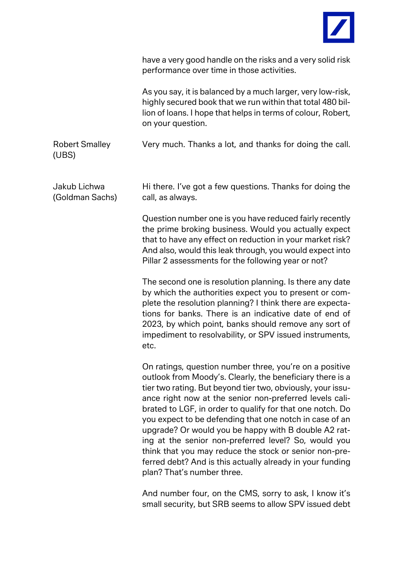

|                                 | have a very good handle on the risks and a very solid risk<br>performance over time in those activities.                                                                                                                                                                                                                                                                                                                                                                                                                                                                                                                                    |
|---------------------------------|---------------------------------------------------------------------------------------------------------------------------------------------------------------------------------------------------------------------------------------------------------------------------------------------------------------------------------------------------------------------------------------------------------------------------------------------------------------------------------------------------------------------------------------------------------------------------------------------------------------------------------------------|
|                                 | As you say, it is balanced by a much larger, very low-risk,<br>highly secured book that we run within that total 480 bil-<br>lion of loans. I hope that helps in terms of colour, Robert,<br>on your question.                                                                                                                                                                                                                                                                                                                                                                                                                              |
| <b>Robert Smalley</b><br>(UBS)  | Very much. Thanks a lot, and thanks for doing the call.                                                                                                                                                                                                                                                                                                                                                                                                                                                                                                                                                                                     |
| Jakub Lichwa<br>(Goldman Sachs) | Hi there. I've got a few questions. Thanks for doing the<br>call, as always.                                                                                                                                                                                                                                                                                                                                                                                                                                                                                                                                                                |
|                                 | Question number one is you have reduced fairly recently<br>the prime broking business. Would you actually expect<br>that to have any effect on reduction in your market risk?<br>And also, would this leak through, you would expect into<br>Pillar 2 assessments for the following year or not?                                                                                                                                                                                                                                                                                                                                            |
|                                 | The second one is resolution planning. Is there any date<br>by which the authorities expect you to present or com-<br>plete the resolution planning? I think there are expecta-<br>tions for banks. There is an indicative date of end of<br>2023, by which point, banks should remove any sort of<br>impediment to resolvability, or SPV issued instruments,<br>etc.                                                                                                                                                                                                                                                                       |
|                                 | On ratings, question number three, you're on a positive<br>outlook from Moody's. Clearly, the beneficiary there is a<br>tier two rating. But beyond tier two, obviously, your issu-<br>ance right now at the senior non-preferred levels cali-<br>brated to LGF, in order to qualify for that one notch. Do<br>you expect to be defending that one notch in case of an<br>upgrade? Or would you be happy with B double A2 rat-<br>ing at the senior non-preferred level? So, would you<br>think that you may reduce the stock or senior non-pre-<br>ferred debt? And is this actually already in your funding<br>plan? That's number three. |
|                                 | And number four, on the CMS, sorry to ask, I know it's                                                                                                                                                                                                                                                                                                                                                                                                                                                                                                                                                                                      |

And number four, on the CMS, sorry to ask, I know it's small security, but SRB seems to allow SPV issued debt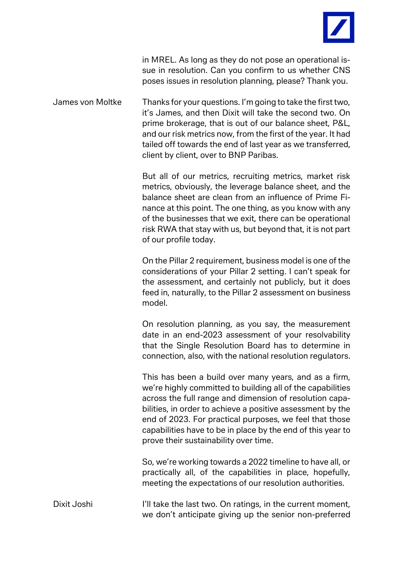

in MREL. As long as they do not pose an operational issue in resolution. Can you confirm to us whether CNS poses issues in resolution planning, please? Thank you.

James von Moltke Thanks for your questions. I'm going to take the first two, it's James, and then Dixit will take the second two. On prime brokerage, that is out of our balance sheet, P&L, and our risk metrics now, from the first of the year. It had tailed off towards the end of last year as we transferred, client by client, over to BNP Paribas.

> But all of our metrics, recruiting metrics, market risk metrics, obviously, the leverage balance sheet, and the balance sheet are clean from an influence of Prime Finance at this point. The one thing, as you know with any of the businesses that we exit, there can be operational risk RWA that stay with us, but beyond that, it is not part of our profile today.

> On the Pillar 2 requirement, business model is one of the considerations of your Pillar 2 setting. I can't speak for the assessment, and certainly not publicly, but it does feed in, naturally, to the Pillar 2 assessment on business model.

> On resolution planning, as you say, the measurement date in an end-2023 assessment of your resolvability that the Single Resolution Board has to determine in connection, also, with the national resolution regulators.

> This has been a build over many years, and as a firm, we're highly committed to building all of the capabilities across the full range and dimension of resolution capabilities, in order to achieve a positive assessment by the end of 2023. For practical purposes, we feel that those capabilities have to be in place by the end of this year to prove their sustainability over time.

> So, we're working towards a 2022 timeline to have all, or practically all, of the capabilities in place, hopefully, meeting the expectations of our resolution authorities.

Dixit Joshi I'll take the last two. On ratings, in the current moment, we don't anticipate giving up the senior non-preferred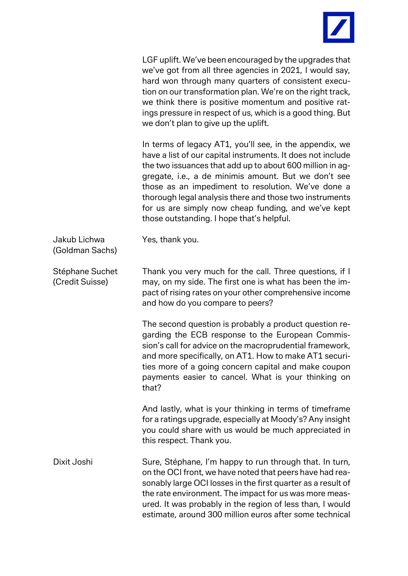

LGF uplift. We've been encouraged by the upgrades that we've got from all three agencies in 2021, I would say, hard won through many quarters of consistent execution on our transformation plan. We're on the right track, we think there is positive momentum and positive ratings pressure in respect of us, which is a good thing. But we don't plan to give up the uplift.

In terms of legacy AT1, you'll see, in the appendix, we have a list of our capital instruments. It does not include the two issuances that add up to about 600 million in aggregate, i.e., a de minimis amount. But we don't see those as an impediment to resolution. We've done a thorough legal analysis there and those two instruments for us are simply now cheap funding, and we've kept those outstanding. I hope that's helpful.

Jakub Lichwa (Goldman Sachs)

Stéphane Suchet (Credit Suisse) Thank you very much for the call. Three questions, if I may, on my side. The first one is what has been the impact of rising rates on your other comprehensive income and how do you compare to peers?

Yes, thank you.

The second question is probably a product question regarding the ECB response to the European Commission's call for advice on the macroprudential framework, and more specifically, on AT1. How to make AT1 securities more of a going concern capital and make coupon payments easier to cancel. What is your thinking on that?

And lastly, what is your thinking in terms of timeframe for a ratings upgrade, especially at Moody's? Any insight you could share with us would be much appreciated in this respect. Thank you.

Dixit Joshi Sure, Stéphane, I'm happy to run through that. In turn, on the OCI front, we have noted that peers have had reasonably large OCI losses in the first quarter as a result of the rate environment. The impact for us was more measured. It was probably in the region of less than, I would estimate, around 300 million euros after some technical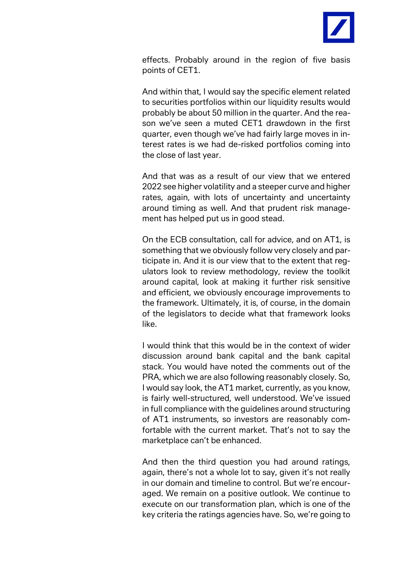

effects. Probably around in the region of five basis points of CET1.

And within that, I would say the specific element related to securities portfolios within our liquidity results would probably be about 50 million in the quarter. And the reason we've seen a muted CET1 drawdown in the first quarter, even though we've had fairly large moves in interest rates is we had de-risked portfolios coming into the close of last year.

And that was as a result of our view that we entered 2022 see higher volatility and a steeper curve and higher rates, again, with lots of uncertainty and uncertainty around timing as well. And that prudent risk management has helped put us in good stead.

On the ECB consultation, call for advice, and on AT1, is something that we obviously follow very closely and participate in. And it is our view that to the extent that regulators look to review methodology, review the toolkit around capital, look at making it further risk sensitive and efficient, we obviously encourage improvements to the framework. Ultimately, it is, of course, in the domain of the legislators to decide what that framework looks like.

I would think that this would be in the context of wider discussion around bank capital and the bank capital stack. You would have noted the comments out of the PRA, which we are also following reasonably closely. So, I would say look, the AT1 market, currently, as you know, is fairly well-structured, well understood. We've issued in full compliance with the guidelines around structuring of AT1 instruments, so investors are reasonably comfortable with the current market. That's not to say the marketplace can't be enhanced.

And then the third question you had around ratings, again, there's not a whole lot to say, given it's not really in our domain and timeline to control. But we're encouraged. We remain on a positive outlook. We continue to execute on our transformation plan, which is one of the key criteria the ratings agencies have. So, we're going to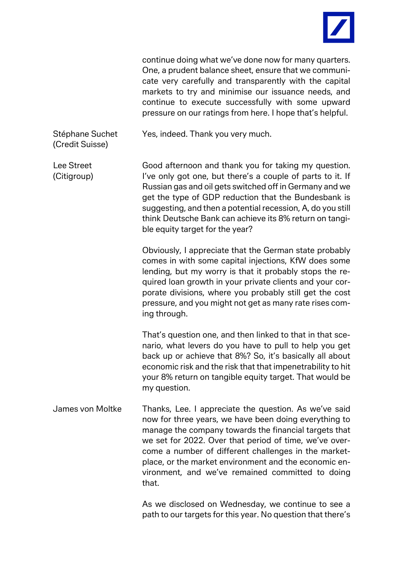

continue doing what we've done now for many quarters. One, a prudent balance sheet, ensure that we communicate very carefully and transparently with the capital markets to try and minimise our issuance needs, and continue to execute successfully with some upward pressure on our ratings from here. I hope that's helpful.

Stéphane Suchet (Credit Suisse)

Yes, indeed. Thank you very much.

Lee Street (Citigroup) Good afternoon and thank you for taking my question. I've only got one, but there's a couple of parts to it. If Russian gas and oil gets switched off in Germany and we get the type of GDP reduction that the Bundesbank is suggesting, and then a potential recession, A, do you still think Deutsche Bank can achieve its 8% return on tangible equity target for the year?

> Obviously, I appreciate that the German state probably comes in with some capital injections, KfW does some lending, but my worry is that it probably stops the required loan growth in your private clients and your corporate divisions, where you probably still get the cost pressure, and you might not get as many rate rises coming through.

> That's question one, and then linked to that in that scenario, what levers do you have to pull to help you get back up or achieve that 8%? So, it's basically all about economic risk and the risk that that impenetrability to hit your 8% return on tangible equity target. That would be my question.

James von Moltke Thanks, Lee. I appreciate the question. As we've said now for three years, we have been doing everything to manage the company towards the financial targets that we set for 2022. Over that period of time, we've overcome a number of different challenges in the marketplace, or the market environment and the economic environment, and we've remained committed to doing that.

> As we disclosed on Wednesday, we continue to see a path to our targets for this year. No question that there's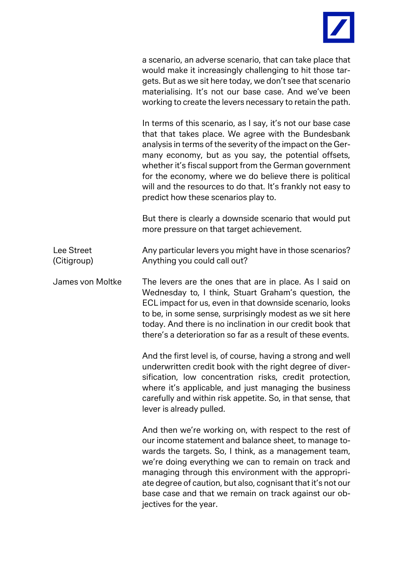

a scenario, an adverse scenario, that can take place that would make it increasingly challenging to hit those targets. But as we sit here today, we don't see that scenario materialising. It's not our base case. And we've been working to create the levers necessary to retain the path.

In terms of this scenario, as I say, it's not our base case that that takes place. We agree with the Bundesbank analysis in terms of the severity of the impact on the Germany economy, but as you say, the potential offsets, whether it's fiscal support from the German government for the economy, where we do believe there is political will and the resources to do that. It's frankly not easy to predict how these scenarios play to.

But there is clearly a downside scenario that would put more pressure on that target achievement.

Lee Street (Citigroup) Any particular levers you might have in those scenarios? Anything you could call out?

James von Moltke The levers are the ones that are in place. As I said on Wednesday to, I think, Stuart Graham's question, the ECL impact for us, even in that downside scenario, looks to be, in some sense, surprisingly modest as we sit here today. And there is no inclination in our credit book that there's a deterioration so far as a result of these events.

> And the first level is, of course, having a strong and well underwritten credit book with the right degree of diversification, low concentration risks, credit protection, where it's applicable, and just managing the business carefully and within risk appetite. So, in that sense, that lever is already pulled.

> And then we're working on, with respect to the rest of our income statement and balance sheet, to manage towards the targets. So, I think, as a management team, we're doing everything we can to remain on track and managing through this environment with the appropriate degree of caution, but also, cognisant that it's not our base case and that we remain on track against our objectives for the year.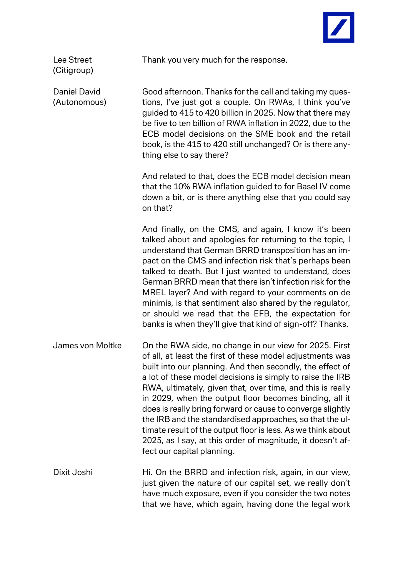

Lee Street (Citigroup)

Daniel David (Autonomous) Thank you very much for the response.

Good afternoon. Thanks for the call and taking my questions, I've just got a couple. On RWAs, I think you've guided to 415 to 420 billion in 2025. Now that there may be five to ten billion of RWA inflation in 2022, due to the ECB model decisions on the SME book and the retail book, is the 415 to 420 still unchanged? Or is there anything else to say there?

And related to that, does the ECB model decision mean that the 10% RWA inflation guided to for Basel IV come down a bit, or is there anything else that you could say on that?

And finally, on the CMS, and again, I know it's been talked about and apologies for returning to the topic, I understand that German BRRD transposition has an impact on the CMS and infection risk that's perhaps been talked to death. But I just wanted to understand, does German BRRD mean that there isn't infection risk for the MREL layer? And with regard to your comments on de minimis, is that sentiment also shared by the regulator, or should we read that the EFB, the expectation for banks is when they'll give that kind of sign-off? Thanks.

- James von Moltke On the RWA side, no change in our view for 2025. First of all, at least the first of these model adjustments was built into our planning. And then secondly, the effect of a lot of these model decisions is simply to raise the IRB RWA, ultimately, given that, over time, and this is really in 2029, when the output floor becomes binding, all it does is really bring forward or cause to converge slightly the IRB and the standardised approaches, so that the ultimate result of the output floor is less. As we think about 2025, as I say, at this order of magnitude, it doesn't affect our capital planning.
- Dixit Joshi **Hi. On the BRRD and infection risk, again, in our view,** just given the nature of our capital set, we really don't have much exposure, even if you consider the two notes that we have, which again, having done the legal work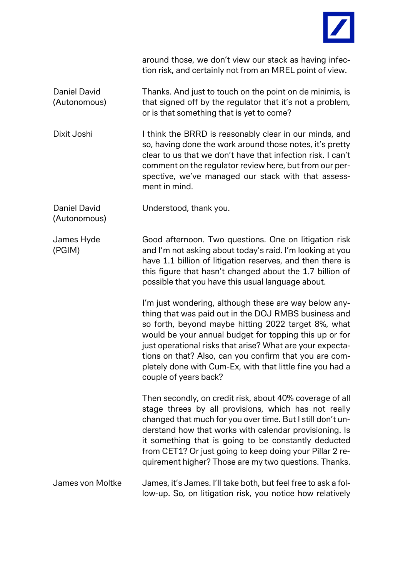

around those, we don't view our stack as having infection risk, and certainly not from an MREL point of view.

Daniel David (Autonomous) Thanks. And just to touch on the point on de minimis, is that signed off by the regulator that it's not a problem, or is that something that is yet to come?

Dixit Joshi I think the BRRD is reasonably clear in our minds, and so, having done the work around those notes, it's pretty clear to us that we don't have that infection risk. I can't comment on the regulator review here, but from our perspective, we've managed our stack with that assessment in mind.

Daniel David Understood, thank you.

(Autonomous)

James Hyde (PGIM)

Good afternoon. Two questions. One on litigation risk and I'm not asking about today's raid. I'm looking at you have 1.1 billion of litigation reserves, and then there is this figure that hasn't changed about the 1.7 billion of possible that you have this usual language about.

I'm just wondering, although these are way below anything that was paid out in the DOJ RMBS business and so forth, beyond maybe hitting 2022 target 8%, what would be your annual budget for topping this up or for just operational risks that arise? What are your expectations on that? Also, can you confirm that you are completely done with Cum-Ex, with that little fine you had a couple of years back?

Then secondly, on credit risk, about 40% coverage of all stage threes by all provisions, which has not really changed that much for you over time. But I still don't understand how that works with calendar provisioning. Is it something that is going to be constantly deducted from CET1? Or just going to keep doing your Pillar 2 requirement higher? Those are my two questions. Thanks.

James von Moltke James, it's James. I'll take both, but feel free to ask a follow-up. So, on litigation risk, you notice how relatively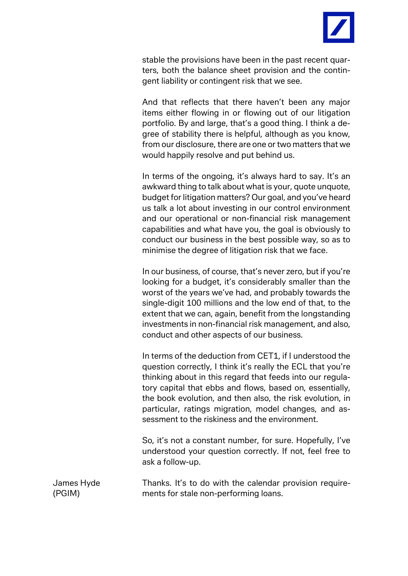

stable the provisions have been in the past recent quarters, both the balance sheet provision and the contingent liability or contingent risk that we see.

And that reflects that there haven't been any major items either flowing in or flowing out of our litigation portfolio. By and large, that's a good thing. I think a degree of stability there is helpful, although as you know, from our disclosure, there are one or two matters that we would happily resolve and put behind us.

In terms of the ongoing, it's always hard to say. It's an awkward thing to talk about what is your, quote unquote, budget for litigation matters? Our goal, and you've heard us talk a lot about investing in our control environment and our operational or non-financial risk management capabilities and what have you, the goal is obviously to conduct our business in the best possible way, so as to minimise the degree of litigation risk that we face.

In our business, of course, that's never zero, but if you're looking for a budget, it's considerably smaller than the worst of the years we've had, and probably towards the single-digit 100 millions and the low end of that, to the extent that we can, again, benefit from the longstanding investments in non-financial risk management, and also, conduct and other aspects of our business.

In terms of the deduction from CET1, if I understood the question correctly, I think it's really the ECL that you're thinking about in this regard that feeds into our regulatory capital that ebbs and flows, based on, essentially, the book evolution, and then also, the risk evolution, in particular, ratings migration, model changes, and assessment to the riskiness and the environment.

So, it's not a constant number, for sure. Hopefully, I've understood your question correctly. If not, feel free to ask a follow-up.

James Hyde (PGIM) Thanks. It's to do with the calendar provision requirements for stale non-performing loans.